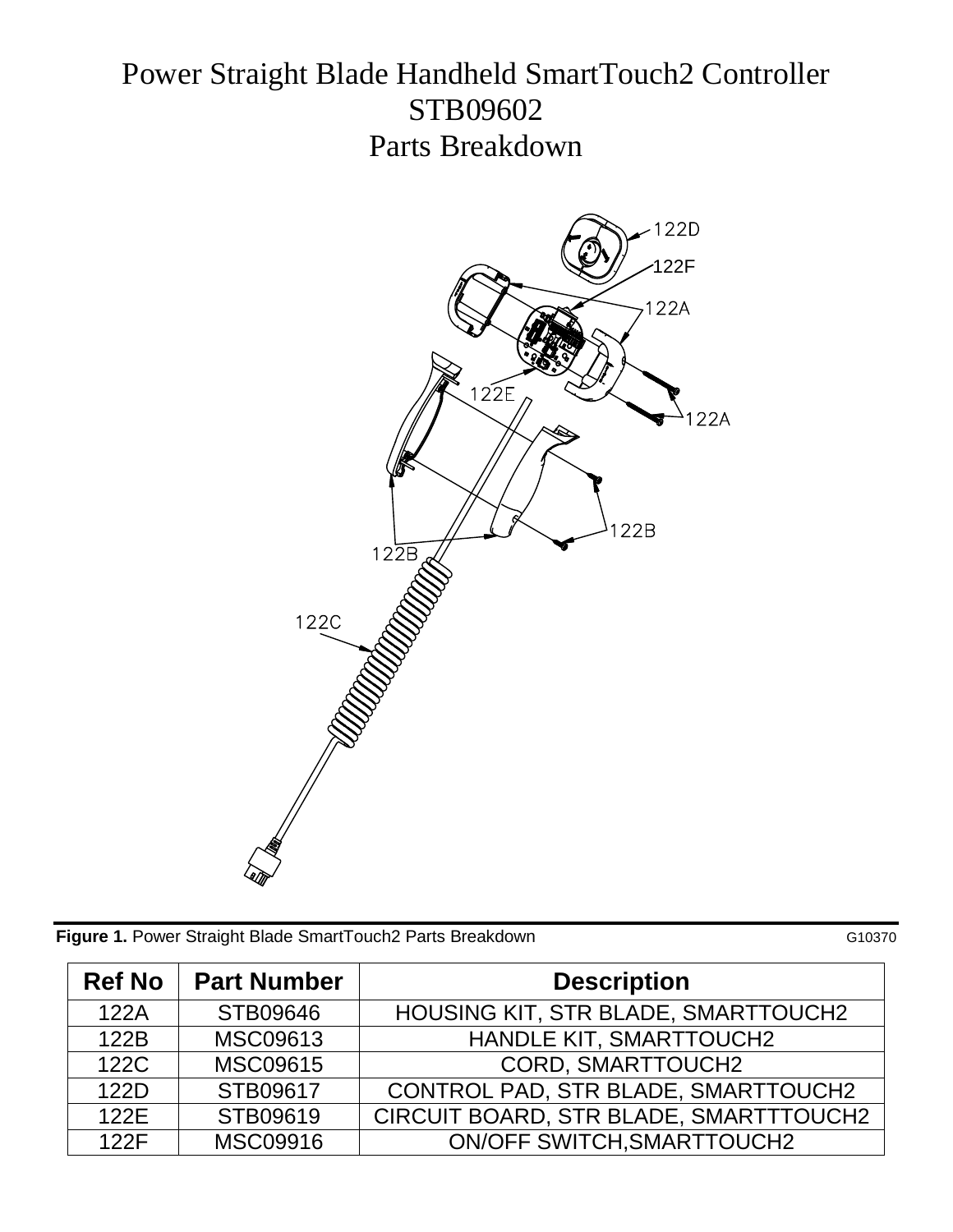## Power Straight Blade Handheld SmartTouch2 Controller STB09602 Parts Breakdown



**Figure 1.** Power Straight Blade SmartTouch2 Parts Breakdown G10370

| <b>Ref No</b> | <b>Part Number</b> | <b>Description</b>                     |
|---------------|--------------------|----------------------------------------|
| 122A          | STB09646           | HOUSING KIT, STR BLADE, SMARTTOUCH2    |
| 122B          | MSC09613           | HANDLE KIT, SMARTTOUCH2                |
| 122C          | MSC09615           | CORD, SMARTTOUCH2                      |
| 122D          | STB09617           | CONTROL PAD, STR BLADE, SMARTTOUCH2    |
| 122E          | STB09619           | CIRCUIT BOARD, STR BLADE, SMARTTTOUCH2 |
| 122F          | <b>MSC09916</b>    | <b>ON/OFF SWITCH, SMARTTOUCH2</b>      |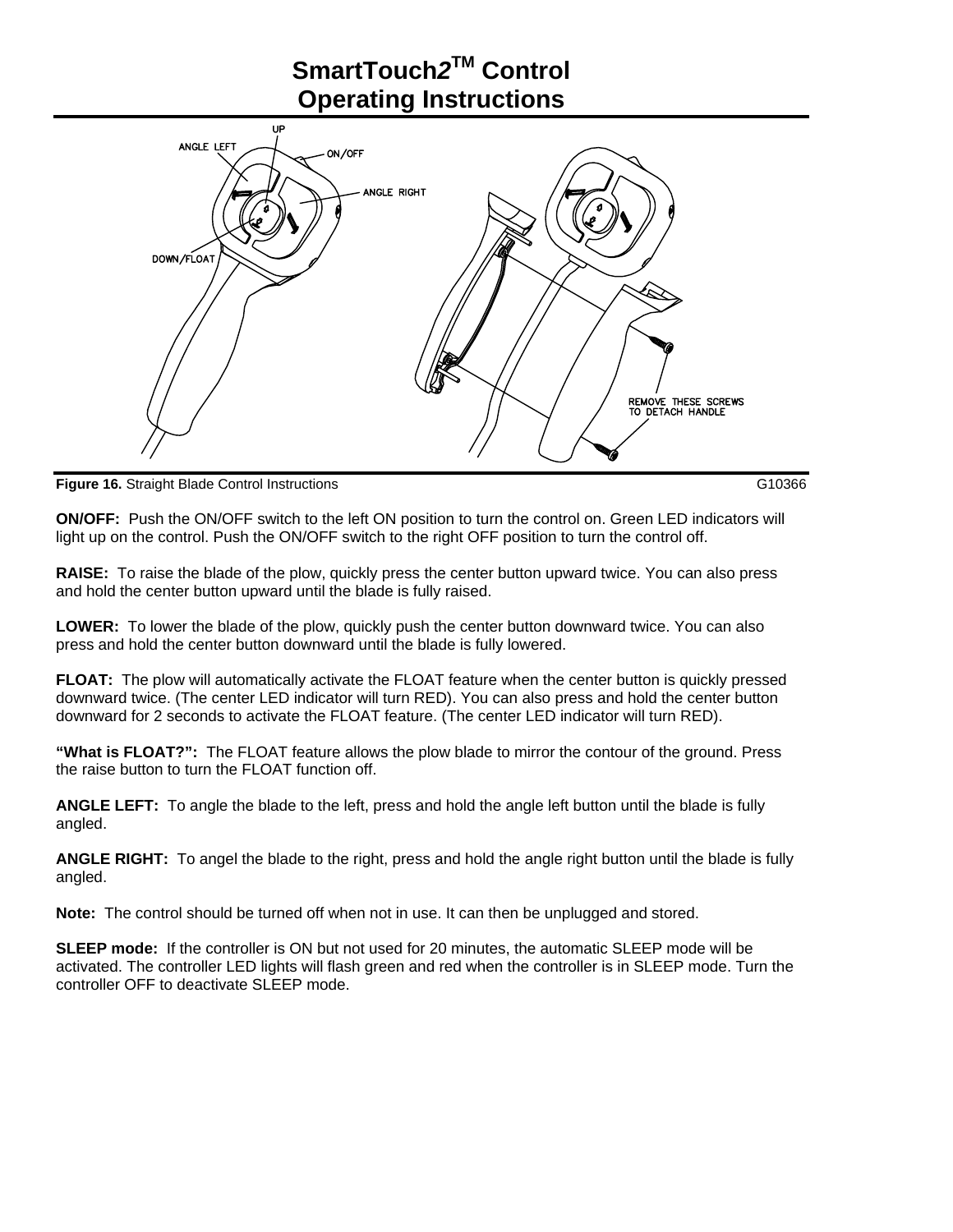

**Figure 16.** Straight Blade Control Instructions G10366

**ON/OFF:** Push the ON/OFF switch to the left ON position to turn the control on. Green LED indicators will light up on the control. Push the ON/OFF switch to the right OFF position to turn the control off.

**RAISE:** To raise the blade of the plow, quickly press the center button upward twice. You can also press and hold the center button upward until the blade is fully raised.

**LOWER:** To lower the blade of the plow, quickly push the center button downward twice. You can also press and hold the center button downward until the blade is fully lowered.

**FLOAT:** The plow will automatically activate the FLOAT feature when the center button is quickly pressed downward twice. (The center LED indicator will turn RED). You can also press and hold the center button downward for 2 seconds to activate the FLOAT feature. (The center LED indicator will turn RED).

**"What is FLOAT?":** The FLOAT feature allows the plow blade to mirror the contour of the ground. Press the raise button to turn the FLOAT function off.

**ANGLE LEFT:** To angle the blade to the left, press and hold the angle left button until the blade is fully angled.

**ANGLE RIGHT:** To angel the blade to the right, press and hold the angle right button until the blade is fully angled.

**Note:** The control should be turned off when not in use. It can then be unplugged and stored.

**SLEEP mode:** If the controller is ON but not used for 20 minutes, the automatic SLEEP mode will be activated. The controller LED lights will flash green and red when the controller is in SLEEP mode. Turn the controller OFF to deactivate SLEEP mode.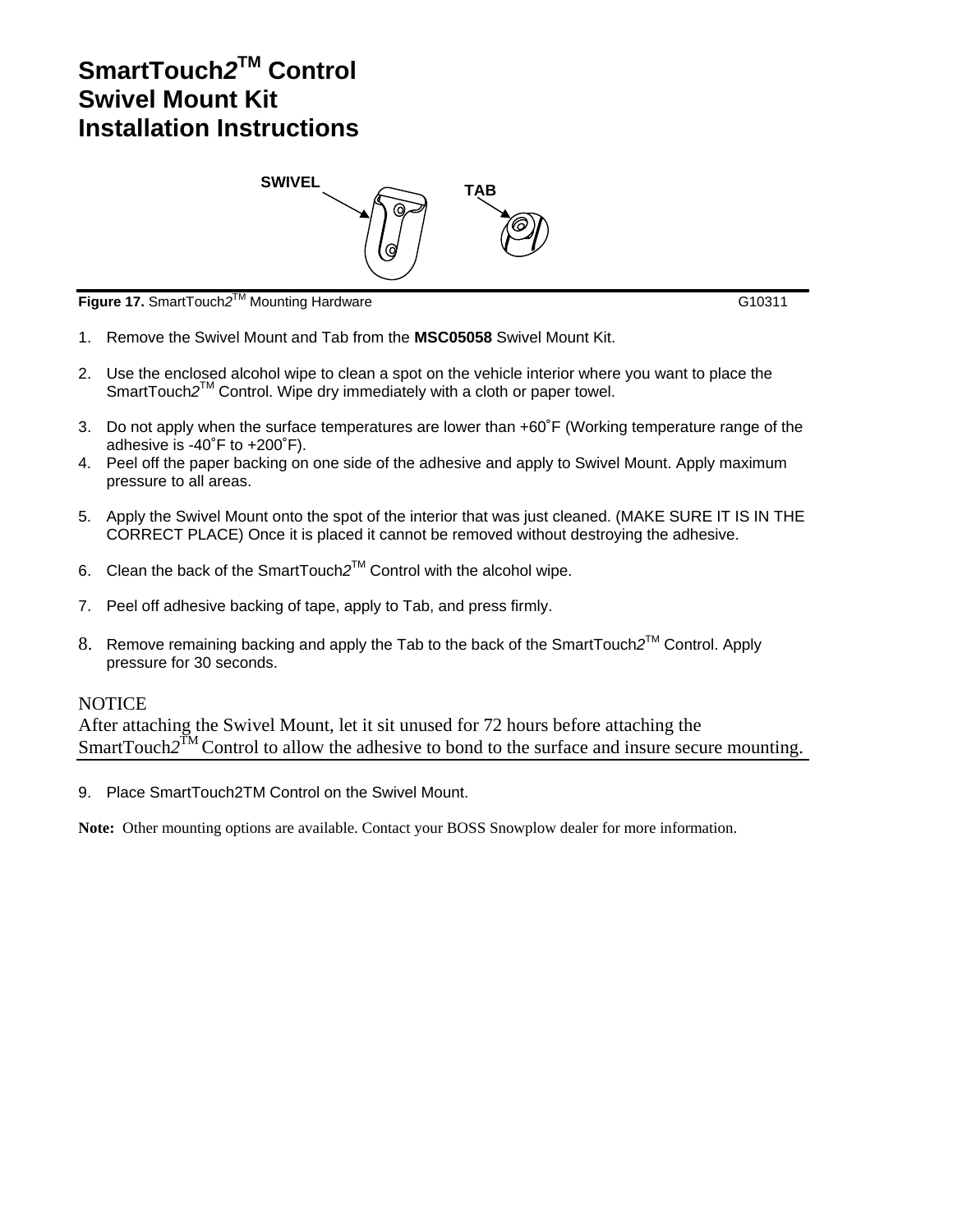## **SmartTouch***2***TM Control Swivel Mount Kit Installation Instructions**



**Figure 17.** SmartTouch*2*TM Mounting Hardware G10311

- 1. Remove the Swivel Mount and Tab from the **MSC05058** Swivel Mount Kit.
- 2. Use the enclosed alcohol wipe to clean a spot on the vehicle interior where you want to place the SmartTouch2<sup>TM</sup> Control. Wipe dry immediately with a cloth or paper towel.
- 3. Do not apply when the surface temperatures are lower than +60˚F (Working temperature range of the adhesive is -40˚F to +200˚F).
- 4. Peel off the paper backing on one side of the adhesive and apply to Swivel Mount. Apply maximum pressure to all areas.
- 5. Apply the Swivel Mount onto the spot of the interior that was just cleaned. (MAKE SURE IT IS IN THE CORRECT PLACE) Once it is placed it cannot be removed without destroying the adhesive.
- 6. Clean the back of the SmartTouch*2*TM Control with the alcohol wipe.
- 7. Peel off adhesive backing of tape, apply to Tab, and press firmly.
- 8. Remove remaining backing and apply the Tab to the back of the SmartTouch*2*TM Control. Apply pressure for 30 seconds.

## **NOTICE**

After attaching the Swivel Mount, let it sit unused for 72 hours before attaching the SmartTouch2<sup>TM</sup> Control to allow the adhesive to bond to the surface and insure secure mounting.

9. Place SmartTouch2TM Control on the Swivel Mount.

**Note:** Other mounting options are available. Contact your BOSS Snowplow dealer for more information.